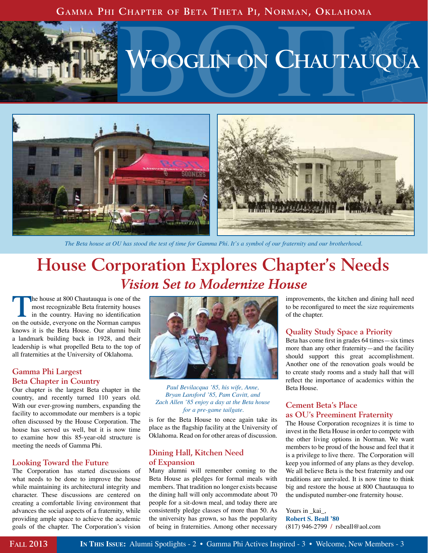### **Gamma Phi Chapter of Beta Theta Pi, Norman, Oklahoma**



# **VOOGLIN ON CHAUTAUQUA**



*The Beta house at OU has stood the test of time for Gamma Phi. It's a symbol of our fraternity and our brotherhood.*

# **House Corporation Explores Chapter's Needs** *Vision Set to Modernize House*

**The house at 800 Chautauqua is one of the most recognizable Beta fraternity houses** in the country. Having no identification most recognizable Beta fraternity houses on the outside, everyone on the Norman campus knows it is the Beta House. Our alumni built a landmark building back in 1928, and their leadership is what propelled Beta to the top of all fraternities at the University of Oklahoma.

### **Gamma Phi Largest Beta Chapter in Country**

Our chapter is the largest Beta chapter in the country, and recently turned 110 years old. With our ever-growing numbers, expanding the facility to accommodate our members is a topic often discussed by the House Corporation. The house has served us well, but it is now time to examine how this 85-year-old structure is meeting the needs of Gamma Phi.

### **Looking Toward the Future**

The Corporation has started discussions of what needs to be done to improve the house while maintaining its architectural integrity and character. These discussions are centered on creating a comfortable living environment that advances the social aspects of a fraternity, while providing ample space to achieve the academic goals of the chapter. The Corporation's vision



*Paul Bevilacqua '85, his wife, Anne, Bryan Lansford '85, Pam Cavitt, and Zach Allen '85 enjoy a day at the Beta house for a pre-game tailgate.*

is for the Beta House to once again take its place as the flagship facility at the University of Oklahoma. Read on for other areas of discussion.

### **Dining Hall, Kitchen Need of Expansion**

Many alumni will remember coming to the Beta House as pledges for formal meals with members. That tradition no longer exists because the dining hall will only accommodate about 70 people for a sit-down meal, and today there are consistently pledge classes of more than 50. As the university has grown, so has the popularity of being in fraternities. Among other necessary improvements, the kitchen and dining hall need to be reconfigured to meet the size requirements of the chapter.

#### **Quality Study Space a Priority**

Beta has come first in grades 64 times—six times more than any other fraternity—and the facility should support this great accomplishment. Another one of the renovation goals would be to create study rooms and a study hall that will reflect the importance of academics within the Beta House.

### **Cement Beta's Place as OU's Preeminent Fraternity**

The House Corporation recognizes it is time to invest in the Beta House in order to compete with the other living options in Norman. We want members to be proud of the house and feel that it is a privilege to live there. The Corporation will keep you informed of any plans as they develop. We all believe Beta is the best fraternity and our traditions are unrivaled. It is now time to think big and restore the house at 800 Chautauqua to the undisputed number-one fraternity house.

Yours in \_kai\_, **Robert S. Beall '80** (817) 946-2799 **/** rsbeall@aol.com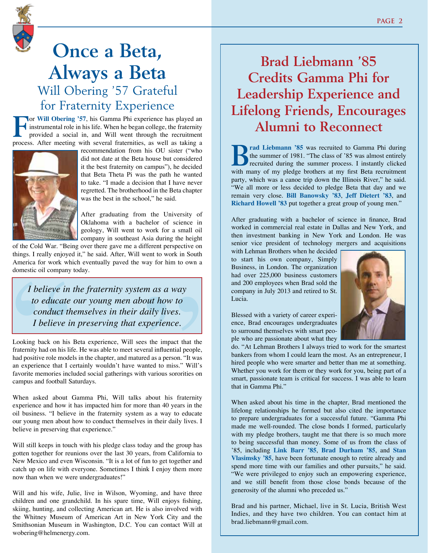

## **Once a Beta, Always a Beta** Will Obering '57 Grateful for Fraternity Experience

**For Will Obering '57**, his Gamma Phi experience has played an instrumental role in his life. When he began college, the fraternity provided a social in, and Will went through the recruitment instrumental role in his life. When he began college, the fraternity provided a social in, and Will went through the recruitment process. After meeting with several fraternities, as well as taking a



recommendation from his OU sister ("who did not date at the Beta house but considered it the best fraternity on campus"), he decided that Beta Theta Pi was the path he wanted to take. "I made a decision that I have never regretted. The brotherhood in the Beta chapter was the best in the school," he said.

After graduating from the University of Oklahoma with a bachelor of science in geology, Will went to work for a small oil company in southeast Asia during the height

of the Cold War. "Being over there gave me a different perspective on things. I really enjoyed it," he said. After, Will went to work in South America for work which eventually paved the way for him to own a domestic oil company today.

*I believe in the fraternity system as a way to educate our young men about how to conduct themselves in their daily lives. I believe in preserving that experience.*

Looking back on his Beta experience, Will sees the impact that the fraternity had on his life. He was able to meet several influential people, had positive role models in the chapter, and matured as a person. "It was an experience that I certainly wouldn't have wanted to miss." Will's favorite memories included social gatherings with various sororities on campus and football Saturdays. Frame and if the Cold War. "Being over there gave me a different perspective on<br>things. I really enjoyed it," he said. After, Will went to work in South<br>America for work which eventually paved the way for him to own a<br>dome

When asked about Gamma Phi, Will talks about his fraternity experience and how it has impacted him for more than 40 years in the oil business. "I believe in the fraternity system as a way to educate our young men about how to conduct themselves in their daily lives. I believe in preserving that experience."

Will still keeps in touch with his pledge class today and the group has gotten together for reunions over the last 30 years, from California to New Mexico and even Wisconsin. "It is a lot of fun to get together and catch up on life with everyone. Sometimes I think I enjoy them more now than when we were undergraduates!"

Will and his wife, Julie, live in Wilson, Wyoming, and have three children and one grandchild. In his spare time, Will enjoys fishing, skiing, hunting, and collecting American art. He is also involved with the Whitney Museum of American Art in New York City and the Smithsonian Museum in Washington, D.C. You can contact Will at wobering@helmenergy.com.

### **Brad Liebmann '85 Credits Gamma Phi for Leadership Experience and Lifelong Friends, Encourages Alumni to Reconnect**

**B**<br>**R**<br>**EXECUTE:** The summer of 1981. "The class of '85 was almost entirely<br>recruited during the summer process. I instantly clicked<br>with near of muldes bathers of muldials and all the state of the state of the state of t the summer of 1981. "The class of '85 was almost entirely recruited during the summer process. I instantly clicked with many of my pledge brothers at my first Beta recruitment party, which was a canoe trip down the Illinois River," he said. "We all more or less decided to pledge Beta that day and we remain very close. **Bill Banowsky '83**, **Jeff Dietert '83**, and **Richard Howell '83** put together a great group of young men."

After graduating with a bachelor of science in finance, Brad worked in commercial real estate in Dallas and New York, and then investment banking in New York and London. He was senior vice president of technology mergers and acquisitions

with Lehman Brothers when he decided to start his own company, Simply Business, in London. The organization had over 225,000 business customers and 200 employees when Brad sold the company in July 2013 and retired to St. Lucia.



Blessed with a variety of career experience, Brad encourages undergraduates to surround themselves with smart people who are passionate about what they

do. "At Lehman Brothers I always tried to work for the smartest bankers from whom I could learn the most. As an entrepreneur, I hired people who were smarter and better than me at something. Whether you work for them or they work for you, being part of a smart, passionate team is critical for success. I was able to learn that in Gamma Phi."

When asked about his time in the chapter, Brad mentioned the lifelong relationships he formed but also cited the importance to prepare undergraduates for a successful future. "Gamma Phi made me well-rounded. The close bonds I formed, particularly with my pledge brothers, taught me that there is so much more to being successful than money. Some of us from the class of '85, including **Link Barr '85**, **Brad Durham '85**, and **Stan Vlasimsky '85**, have been fortunate enough to retire already and spend more time with our families and other pursuits," he said. "We were privileged to enjoy such an empowering experience, and we still benefit from those close bonds because of the generosity of the alumni who preceded us."

Brad and his partner, Michael, live in St. Lucia, British West Indies, and they have two children. You can contact him at brad.liebmann@gmail.com.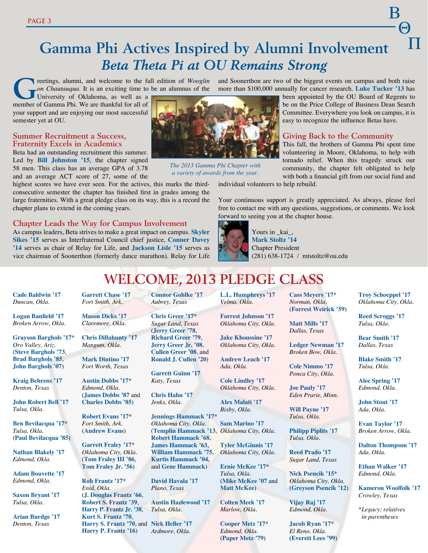### $\Box$ **Gamma Phi Actives Inspired by Alumni Involvement** *Beta Theta Pi at OU Remains Strong*

**G**reetings, alumni, and welcome to the fall edition of *Wooglin on Chautauqua*. It is an exciting time to be an alumnus of the University of Oklahoma, as well as a

member of Gamma Phi. We are thankful for all of your support and are enjoying our most successful semester yet at OU.

#### **Summer Recruitment a Success, Fraternity Excels in Academics**

Beta had an outstanding recruitment this summer. Led by **Bill Johnston '15**, the chapter signed 58 men. This class has an average GPA of 3.78 and an average ACT score of 27, some of the

highest scores we have ever seen. For the actives, this marks the thirdconsecutive semester the chapter has finished first in grades among the large fraternities. With a great pledge class on its way, this is a record the chapter plans to extend in the coming years.

**Chapter Leads the Way for Campus Involvement** 

As campus leaders, Beta strives to make a great impact on campus. **Skyler Sikes '15** serves as Interfraternal Council chief justice, **Conner Davey '14** serves as chair of Relay for Life, and **Jackson Lisle '15** serves as vice chairman of Soonerthon (formerly dance marathon). Relay for Life

and Soonerthon are two of the biggest events on campus and both raise more than \$100,000 annually for cancer research. **Luke Tucker '13** has

been appointed by the OU Board of Regents to be on the Price College of Business Dean Search Committee. Everywhere you look on campus, it is easy to recognize the influence Betas have.

B

 $-\Theta$ 

### **Giving Back to the Community**

This fall, the brothers of Gamma Phi spent time volunteering in Moore, Oklahoma, to help with tornado relief. When this tragedy struck our community, the chapter felt obligated to help with both a financial gift from our social fund and

individual volunteers to help rebuild.

Your continuous support is greatly appreciated. As always, please feel free to contact me with any questions, suggestions, or comments. We look forward to seeing you at the chapter house.



Yours in kai, **Mark Stoltz '14** Chapter President (281) 638-1724 **/** mtstoltz@ou.edu

### **Welcome, 2013 Pledge Class**

*The 2013 Gamma Phi Chapter with a variety of awards from the year.* 

**Cade Baldwin '17**  *Duncan, Okla.* 

**Logan Banfield '17** *Broken Arrow, Okla.*

**Grayson Barghols '17**\* *Oro Valley, Ariz.* (**Steve Barghols '73**, **Brad Barghols '85**, **John Barghols '07**)

**Kraig Behrens '17** *Denton, Texas*

**John Robert Bell '17** *Tulsa, Okla.*

**Ben Bevilacqua '17**\* *Tulsa, Okla.* (**Paul Bevilacqua '85**)

**Nathan Blakely '17** *Edmond, Okla.*

**Adam Bouvette '17** *Edmond, Okla.*

**Saxon Bryant '17** *Tulsa, Okla.*

**Arian Burdge '17** *Denton, Texas*

**Garrett Chase '17** *Fort Smith, Ark.*

**Mason Dicks '17** *Claremore, Okla.*

**Chris Dillahunty '17** *Mangum, Okla.*

**Mark Dintino '17** *Fort Worth, Texas*

**Austin Dobbs '17**\* *Edmond, Okla.* (**James Dobbs '87** and **Charles Dobbs '85**)

**Robert Evans '17**\* *Fort Smith, Ark.* (**Andrew Evans**)

**Garrett Fraley '17**\* *Oklahoma City, Okla.* (**Tom Fraley III '86**, **Tom Fraley Jr. '56**)

**Rob Frantz '17**\* *Enid, Okla.* (**J. Douglas Frantz '66**, **Robert S. Frantz '39**, **Harry P. Frantz Jr. '38**, **Kurt S. Frantz '70**, **Harry S. Frantz '70**, and **Nick Heller '17 Harry P. Frantz '16**)

**Connor Gohlke '17** *Aubrey, Texas*

**Chris Greer '17**\* *Sugar Land, Texas* (**Jerry Greer '78**, **Richard Greer '79**, **Jerry Greer Jr. '08**, **Cullen Greer '08**, and **Ronald J. Cullen '20**)

**Garrett Guinn '17** *Katy, Texas*

**Chris Hahn '17** *Jenks, Okla.*

**Jennings Hammack '17**\* *Oklahoma City, Okla.* (**Templin Hammack '13**, **Robert Hammack '68**, **James Hammack '63**, **William Hammack '75**, **Kurtis Hammack '04**, and **Gene Hammack**)

**David Havala '17** *Plano, Texas*

**Austin Hazlewood '17** *Tulsa, Okla.*

*Ardmore, Okla.*

**L.L. Humphreys '17** *Velma, Okla.* **Forrest Johnson '17**

*Oklahoma City, Okla.* **Jake Khoussine '17**

*Oklahoma City, Okla.* **Andrew Leach '17** *Ada, Okla.*

**Cole Lindley '17**  *Oklahoma City, Okla.*

**Alex Malati '17** *Bixby, Okla.*

**Sam Marino '17** *Oklahoma City, Okla.*

**Tyler McGinnis '17** *Oklahoma City, Okla.*

**Ernie McKee '17**\* *Tulsa, Okla.* (**Mike McKee '07** and **Matt McKee**)

**Colten Meek '17** *Marlow, Okla.*

**Cooper Metz '17**\* *Edmond, Okla.* (**Paper Metz '79**)

**Cass Meyers '17**\* *Norman, Okla.* (**Forrest Weirick '59**)

**Matt Mills '17** *Dallas, Texas*

**Ledger Newman '17** *Broken Bow, Okla.*

**Cole Nimmo '17** *Ponca City, Okla.*

**Joe Pauly '17**

*Eden Prarie, Minn.*  **Will Payne '17** *Tulsa, Okla.*

**Philipp Piplits '17** *Tulsa, Okla.*

**Reed Prado '17** *Sugar Land, Texas*

**Nick Psencik '15**\* *Oklahoma City, Okla.* (**Greyson Psencik '12**)

**Vijay Raj '17** *Edmond, Okla.*

**Jacob Ryan '17**\* *El Reno, Okla.* (**Everett Lees '99**) **Troy Schoeppel '17** *Oklahoma City, Okla.*

**Reed Scroggs '17** *Tulsa, Okla.*

**Bear Smith '17** *Dallas, Texas*

**Blake Smith '17** *Tulsa, Okla.*

**Alec Spring '17** *Edmond, Okla.*

**John Stout '17** *Ada, Okla.*

**Evan Taylor '17** *Broken Arrow, Okla.*

**Dalton Thompson '17** *Ada, Okla.*

**Ethan Walker '17** *Edmond, Okla.*

**Kameron Woolfolk '17** *Crowley, Texas*

*\*Legacy; relatives in parentheses*